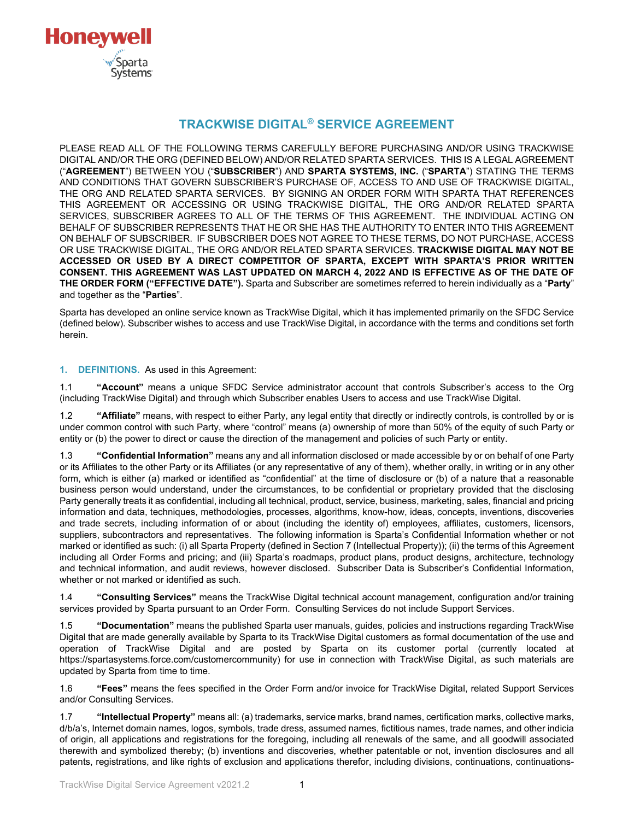

# **TRACKWISE DIGITAL® SERVICE AGREEMENT**

PLEASE READ ALL OF THE FOLLOWING TERMS CAREFULLY BEFORE PURCHASING AND/OR USING TRACKWISE DIGITAL AND/OR THE ORG (DEFINED BELOW) AND/OR RELATED SPARTA SERVICES. THIS IS A LEGAL AGREEMENT ("**AGREEMENT**") BETWEEN YOU ("**SUBSCRIBER**") AND **SPARTA SYSTEMS, INC.** ("**SPARTA**") STATING THE TERMS AND CONDITIONS THAT GOVERN SUBSCRIBER'S PURCHASE OF, ACCESS TO AND USE OF TRACKWISE DIGITAL, THE ORG AND RELATED SPARTA SERVICES. BY SIGNING AN ORDER FORM WITH SPARTA THAT REFERENCES THIS AGREEMENT OR ACCESSING OR USING TRACKWISE DIGITAL, THE ORG AND/OR RELATED SPARTA SERVICES, SUBSCRIBER AGREES TO ALL OF THE TERMS OF THIS AGREEMENT. THE INDIVIDUAL ACTING ON BEHALF OF SUBSCRIBER REPRESENTS THAT HE OR SHE HAS THE AUTHORITY TO ENTER INTO THIS AGREEMENT ON BEHALF OF SUBSCRIBER. IF SUBSCRIBER DOES NOT AGREE TO THESE TERMS, DO NOT PURCHASE, ACCESS OR USE TRACKWISE DIGITAL, THE ORG AND/OR RELATED SPARTA SERVICES. **TRACKWISE DIGITAL MAY NOT BE ACCESSED OR USED BY A DIRECT COMPETITOR OF SPARTA, EXCEPT WITH SPARTA'S PRIOR WRITTEN CONSENT. THIS AGREEMENT WAS LAST UPDATED ON MARCH 4, 2022 AND IS EFFECTIVE AS OF THE DATE OF THE ORDER FORM ("EFFECTIVE DATE").** Sparta and Subscriber are sometimes referred to herein individually as a "**Party**" and together as the "**Parties**".

Sparta has developed an online service known as TrackWise Digital, which it has implemented primarily on the SFDC Service (defined below). Subscriber wishes to access and use TrackWise Digital, in accordance with the terms and conditions set forth herein.

#### **1. DEFINITIONS.** As used in this Agreement:

1.1 **"Account"** means a unique SFDC Service administrator account that controls Subscriber's access to the Org (including TrackWise Digital) and through which Subscriber enables Users to access and use TrackWise Digital.

1.2 **"Affiliate"** means, with respect to either Party, any legal entity that directly or indirectly controls, is controlled by or is under common control with such Party, where "control" means (a) ownership of more than 50% of the equity of such Party or entity or (b) the power to direct or cause the direction of the management and policies of such Party or entity.

1.3 **"Confidential Information"** means any and all information disclosed or made accessible by or on behalf of one Party or its Affiliates to the other Party or its Affiliates (or any representative of any of them), whether orally, in writing or in any other form, which is either (a) marked or identified as "confidential" at the time of disclosure or (b) of a nature that a reasonable business person would understand, under the circumstances, to be confidential or proprietary provided that the disclosing Party generally treats it as confidential, including all technical, product, service, business, marketing, sales, financial and pricing information and data, techniques, methodologies, processes, algorithms, know-how, ideas, concepts, inventions, discoveries and trade secrets, including information of or about (including the identity of) employees, affiliates, customers, licensors, suppliers, subcontractors and representatives. The following information is Sparta's Confidential Information whether or not marked or identified as such: (i) all Sparta Property (defined in Section 7 (Intellectual Property)); (ii) the terms of this Agreement including all Order Forms and pricing; and (iii) Sparta's roadmaps, product plans, product designs, architecture, technology and technical information, and audit reviews, however disclosed. Subscriber Data is Subscriber's Confidential Information, whether or not marked or identified as such.

1.4 **"Consulting Services"** means the TrackWise Digital technical account management, configuration and/or training services provided by Sparta pursuant to an Order Form. Consulting Services do not include Support Services.

1.5 **"Documentation"** means the published Sparta user manuals, guides, policies and instructions regarding TrackWise Digital that are made generally available by Sparta to its TrackWise Digital customers as formal documentation of the use and operation of TrackWise Digital and are posted by Sparta on its customer portal (currently located at https://spartasystems.force.com/customercommunity) for use in connection with TrackWise Digital, as such materials are updated by Sparta from time to time.

1.6 **"Fees"** means the fees specified in the Order Form and/or invoice for TrackWise Digital, related Support Services and/or Consulting Services.

1.7 **"Intellectual Property"** means all: (a) trademarks, service marks, brand names, certification marks, collective marks, d/b/a's, Internet domain names, logos, symbols, trade dress, assumed names, fictitious names, trade names, and other indicia of origin, all applications and registrations for the foregoing, including all renewals of the same, and all goodwill associated therewith and symbolized thereby; (b) inventions and discoveries, whether patentable or not, invention disclosures and all patents, registrations, and like rights of exclusion and applications therefor, including divisions, continuations, continuations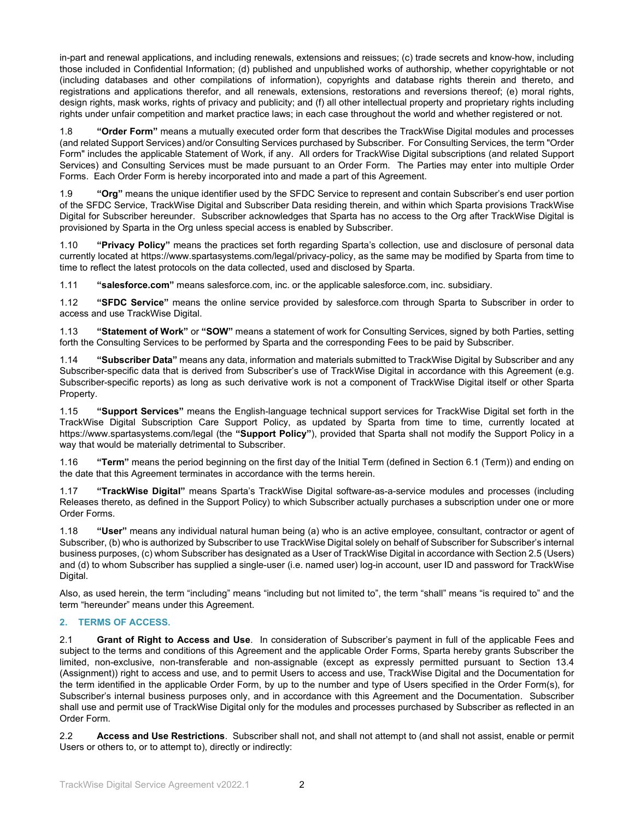in-part and renewal applications, and including renewals, extensions and reissues; (c) trade secrets and know-how, including those included in Confidential Information; (d) published and unpublished works of authorship, whether copyrightable or not (including databases and other compilations of information), copyrights and database rights therein and thereto, and registrations and applications therefor, and all renewals, extensions, restorations and reversions thereof; (e) moral rights, design rights, mask works, rights of privacy and publicity; and (f) all other intellectual property and proprietary rights including rights under unfair competition and market practice laws; in each case throughout the world and whether registered or not.

1.8 **"Order Form"** means a mutually executed order form that describes the TrackWise Digital modules and processes (and related Support Services) and/or Consulting Services purchased by Subscriber. For Consulting Services, the term "Order Form" includes the applicable Statement of Work, if any. All orders for TrackWise Digital subscriptions (and related Support Services) and Consulting Services must be made pursuant to an Order Form. The Parties may enter into multiple Order Forms. Each Order Form is hereby incorporated into and made a part of this Agreement.

1.9 **"Org"** means the unique identifier used by the SFDC Service to represent and contain Subscriber's end user portion of the SFDC Service, TrackWise Digital and Subscriber Data residing therein, and within which Sparta provisions TrackWise Digital for Subscriber hereunder. Subscriber acknowledges that Sparta has no access to the Org after TrackWise Digital is provisioned by Sparta in the Org unless special access is enabled by Subscriber.

1.10 **"Privacy Policy"** means the practices set forth regarding Sparta's collection, use and disclosure of personal data currently located at https://www.spartasystems.com/legal/privacy-policy, as the same may be modified by Sparta from time to time to reflect the latest protocols on the data collected, used and disclosed by Sparta.

1.11 **"salesforce.com"** means salesforce.com, inc. or the applicable salesforce.com, inc. subsidiary.

1.12 **"SFDC Service"** means the online service provided by salesforce.com through Sparta to Subscriber in order to access and use TrackWise Digital.

1.13 **"Statement of Work"** or **"SOW"** means a statement of work for Consulting Services, signed by both Parties, setting forth the Consulting Services to be performed by Sparta and the corresponding Fees to be paid by Subscriber.

1.14 **"Subscriber Data"** means any data, information and materials submitted to TrackWise Digital by Subscriber and any Subscriber-specific data that is derived from Subscriber's use of TrackWise Digital in accordance with this Agreement (e.g. Subscriber-specific reports) as long as such derivative work is not a component of TrackWise Digital itself or other Sparta Property.

1.15 **"Support Services"** means the English-language technical support services for TrackWise Digital set forth in the TrackWise Digital Subscription Care Support Policy, as updated by Sparta from time to time, currently located at https://www.spartasystems.com/legal (the **"Support Policy"**), provided that Sparta shall not modify the Support Policy in a way that would be materially detrimental to Subscriber.

1.16 **"Term"** means the period beginning on the first day of the Initial Term (defined in Section 6.1 (Term)) and ending on the date that this Agreement terminates in accordance with the terms herein.

1.17 **"TrackWise Digital"** means Sparta's TrackWise Digital software-as-a-service modules and processes (including Releases thereto, as defined in the Support Policy) to which Subscriber actually purchases a subscription under one or more Order Forms.

1.18 **"User"** means any individual natural human being (a) who is an active employee, consultant, contractor or agent of Subscriber, (b) who is authorized by Subscriber to use TrackWise Digital solely on behalf of Subscriber for Subscriber's internal business purposes, (c) whom Subscriber has designated as a User of TrackWise Digital in accordance with Section 2.5 (Users) and (d) to whom Subscriber has supplied a single-user (i.e. named user) log-in account, user ID and password for TrackWise Digital.

Also, as used herein, the term "including" means "including but not limited to", the term "shall" means "is required to" and the term "hereunder" means under this Agreement.

## **2. TERMS OF ACCESS.**

2.1 **Grant of Right to Access and Use**. In consideration of Subscriber's payment in full of the applicable Fees and subject to the terms and conditions of this Agreement and the applicable Order Forms, Sparta hereby grants Subscriber the limited, non-exclusive, non-transferable and non-assignable (except as expressly permitted pursuant to Section 13.4 (Assignment)) right to access and use, and to permit Users to access and use, TrackWise Digital and the Documentation for the term identified in the applicable Order Form, by up to the number and type of Users specified in the Order Form(s), for Subscriber's internal business purposes only, and in accordance with this Agreement and the Documentation. Subscriber shall use and permit use of TrackWise Digital only for the modules and processes purchased by Subscriber as reflected in an Order Form.

2.2 **Access and Use Restrictions**. Subscriber shall not, and shall not attempt to (and shall not assist, enable or permit Users or others to, or to attempt to), directly or indirectly: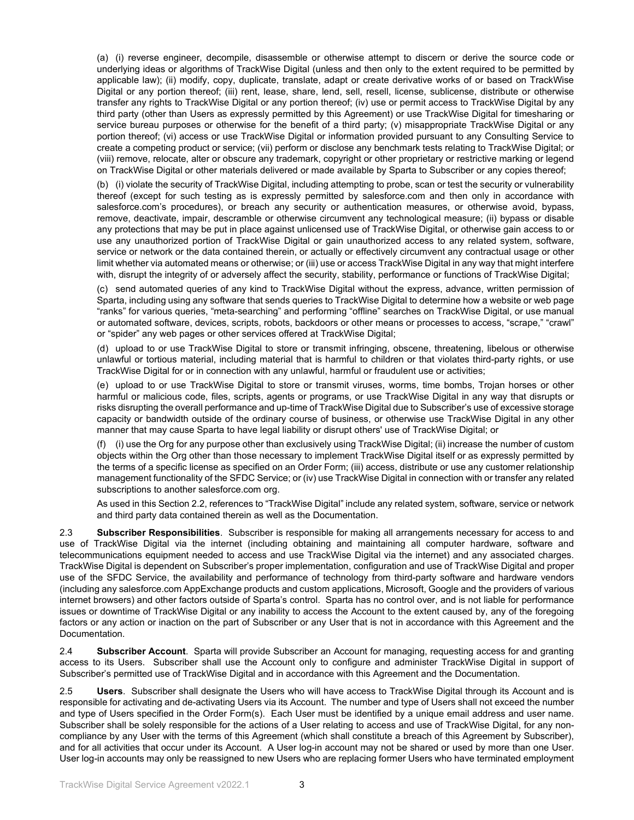(a) (i) reverse engineer, decompile, disassemble or otherwise attempt to discern or derive the source code or underlying ideas or algorithms of TrackWise Digital (unless and then only to the extent required to be permitted by applicable law); (ii) modify, copy, duplicate, translate, adapt or create derivative works of or based on TrackWise Digital or any portion thereof; (iii) rent, lease, share, lend, sell, resell, license, sublicense, distribute or otherwise transfer any rights to TrackWise Digital or any portion thereof; (iv) use or permit access to TrackWise Digital by any third party (other than Users as expressly permitted by this Agreement) or use TrackWise Digital for timesharing or service bureau purposes or otherwise for the benefit of a third party; (v) misappropriate TrackWise Digital or any portion thereof; (vi) access or use TrackWise Digital or information provided pursuant to any Consulting Service to create a competing product or service; (vii) perform or disclose any benchmark tests relating to TrackWise Digital; or (viii) remove, relocate, alter or obscure any trademark, copyright or other proprietary or restrictive marking or legend on TrackWise Digital or other materials delivered or made available by Sparta to Subscriber or any copies thereof;

(b) (i) violate the security of TrackWise Digital, including attempting to probe, scan or test the security or vulnerability thereof (except for such testing as is expressly permitted by salesforce.com and then only in accordance with salesforce.com's procedures), or breach any security or authentication measures, or otherwise avoid, bypass, remove, deactivate, impair, descramble or otherwise circumvent any technological measure; (ii) bypass or disable any protections that may be put in place against unlicensed use of TrackWise Digital, or otherwise gain access to or use any unauthorized portion of TrackWise Digital or gain unauthorized access to any related system, software, service or network or the data contained therein, or actually or effectively circumvent any contractual usage or other limit whether via automated means or otherwise; or (iii) use or access TrackWise Digital in any way that might interfere with, disrupt the integrity of or adversely affect the security, stability, performance or functions of TrackWise Digital;

(c) send automated queries of any kind to TrackWise Digital without the express, advance, written permission of Sparta, including using any software that sends queries to TrackWise Digital to determine how a website or web page "ranks" for various queries, "meta-searching" and performing "offline" searches on TrackWise Digital, or use manual or automated software, devices, scripts, robots, backdoors or other means or processes to access, "scrape," "crawl" or "spider" any web pages or other services offered at TrackWise Digital;

(d) upload to or use TrackWise Digital to store or transmit infringing, obscene, threatening, libelous or otherwise unlawful or tortious material, including material that is harmful to children or that violates third-party rights, or use TrackWise Digital for or in connection with any unlawful, harmful or fraudulent use or activities;

(e) upload to or use TrackWise Digital to store or transmit viruses, worms, time bombs, Trojan horses or other harmful or malicious code, files, scripts, agents or programs, or use TrackWise Digital in any way that disrupts or risks disrupting the overall performance and up-time of TrackWise Digital due to Subscriber's use of excessive storage capacity or bandwidth outside of the ordinary course of business, or otherwise use TrackWise Digital in any other manner that may cause Sparta to have legal liability or disrupt others' use of TrackWise Digital; or

(f) (i) use the Org for any purpose other than exclusively using TrackWise Digital; (ii) increase the number of custom objects within the Org other than those necessary to implement TrackWise Digital itself or as expressly permitted by the terms of a specific license as specified on an Order Form; (iii) access, distribute or use any customer relationship management functionality of the SFDC Service; or (iv) use TrackWise Digital in connection with or transfer any related subscriptions to another salesforce.com org.

As used in this Section 2.2, references to "TrackWise Digital" include any related system, software, service or network and third party data contained therein as well as the Documentation.

2.3 **Subscriber Responsibilities**. Subscriber is responsible for making all arrangements necessary for access to and use of TrackWise Digital via the internet (including obtaining and maintaining all computer hardware, software and telecommunications equipment needed to access and use TrackWise Digital via the internet) and any associated charges. TrackWise Digital is dependent on Subscriber's proper implementation, configuration and use of TrackWise Digital and proper use of the SFDC Service, the availability and performance of technology from third-party software and hardware vendors (including any salesforce.com AppExchange products and custom applications, Microsoft, Google and the providers of various internet browsers) and other factors outside of Sparta's control. Sparta has no control over, and is not liable for performance issues or downtime of TrackWise Digital or any inability to access the Account to the extent caused by, any of the foregoing factors or any action or inaction on the part of Subscriber or any User that is not in accordance with this Agreement and the Documentation.

2.4 **Subscriber Account**. Sparta will provide Subscriber an Account for managing, requesting access for and granting access to its Users. Subscriber shall use the Account only to configure and administer TrackWise Digital in support of Subscriber's permitted use of TrackWise Digital and in accordance with this Agreement and the Documentation.

2.5 **Users**. Subscriber shall designate the Users who will have access to TrackWise Digital through its Account and is responsible for activating and de-activating Users via its Account. The number and type of Users shall not exceed the number and type of Users specified in the Order Form(s). Each User must be identified by a unique email address and user name. Subscriber shall be solely responsible for the actions of a User relating to access and use of TrackWise Digital, for any noncompliance by any User with the terms of this Agreement (which shall constitute a breach of this Agreement by Subscriber), and for all activities that occur under its Account. A User log-in account may not be shared or used by more than one User. User log-in accounts may only be reassigned to new Users who are replacing former Users who have terminated employment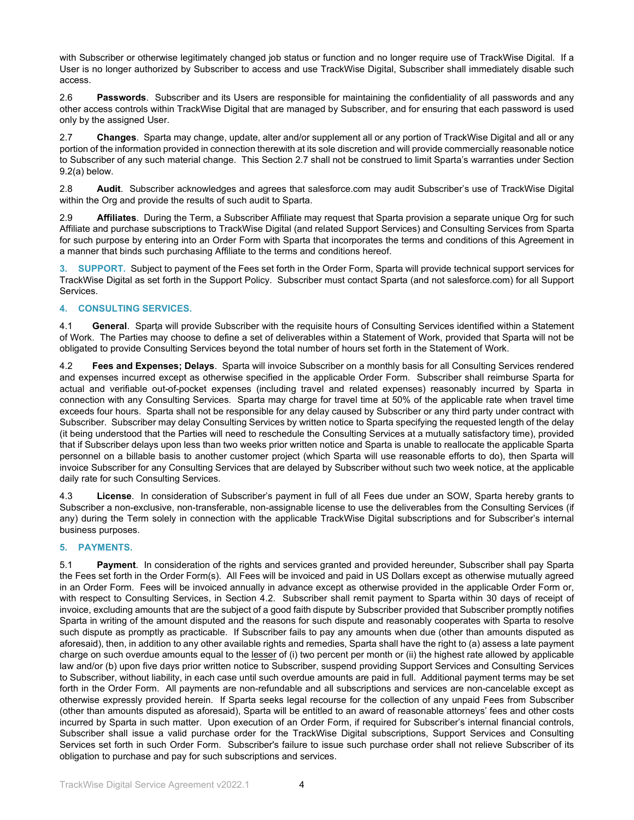with Subscriber or otherwise legitimately changed job status or function and no longer require use of TrackWise Digital. If a User is no longer authorized by Subscriber to access and use TrackWise Digital, Subscriber shall immediately disable such access.

2.6 **Passwords**. Subscriber and its Users are responsible for maintaining the confidentiality of all passwords and any other access controls within TrackWise Digital that are managed by Subscriber, and for ensuring that each password is used only by the assigned User.

2.7 **Changes**. Sparta may change, update, alter and/or supplement all or any portion of TrackWise Digital and all or any portion of the information provided in connection therewith at its sole discretion and will provide commercially reasonable notice to Subscriber of any such material change. This Section 2.7 shall not be construed to limit Sparta's warranties under Section 9.2(a) below.

2.8 **Audit**. Subscriber acknowledges and agrees that salesforce.com may audit Subscriber's use of TrackWise Digital within the Org and provide the results of such audit to Sparta.

2.9 **Affiliates**. During the Term, a Subscriber Affiliate may request that Sparta provision a separate unique Org for such Affiliate and purchase subscriptions to TrackWise Digital (and related Support Services) and Consulting Services from Sparta for such purpose by entering into an Order Form with Sparta that incorporates the terms and conditions of this Agreement in a manner that binds such purchasing Affiliate to the terms and conditions hereof.

**3. SUPPORT.** Subject to payment of the Fees set forth in the Order Form, Sparta will provide technical support services for TrackWise Digital as set forth in the Support Policy. Subscriber must contact Sparta (and not salesforce.com) for all Support Services.

## **4. CONSULTING SERVICES.**

4.1 **General**. Sparta will provide Subscriber with the requisite hours of Consulting Services identified within a Statement of Work. The Parties may choose to define a set of deliverables within a Statement of Work, provided that Sparta will not be obligated to provide Consulting Services beyond the total number of hours set forth in the Statement of Work.

4.2 **Fees and Expenses; Delays**. Sparta will invoice Subscriber on a monthly basis for all Consulting Services rendered and expenses incurred except as otherwise specified in the applicable Order Form. Subscriber shall reimburse Sparta for actual and verifiable out-of-pocket expenses (including travel and related expenses) reasonably incurred by Sparta in connection with any Consulting Services. Sparta may charge for travel time at 50% of the applicable rate when travel time exceeds four hours. Sparta shall not be responsible for any delay caused by Subscriber or any third party under contract with Subscriber. Subscriber may delay Consulting Services by written notice to Sparta specifying the requested length of the delay (it being understood that the Parties will need to reschedule the Consulting Services at a mutually satisfactory time), provided that if Subscriber delays upon less than two weeks prior written notice and Sparta is unable to reallocate the applicable Sparta personnel on a billable basis to another customer project (which Sparta will use reasonable efforts to do), then Sparta will invoice Subscriber for any Consulting Services that are delayed by Subscriber without such two week notice, at the applicable daily rate for such Consulting Services.

4.3 **License**. In consideration of Subscriber's payment in full of all Fees due under an SOW, Sparta hereby grants to Subscriber a non-exclusive, non-transferable, non-assignable license to use the deliverables from the Consulting Services (if any) during the Term solely in connection with the applicable TrackWise Digital subscriptions and for Subscriber's internal business purposes.

## **5. PAYMENTS.**

5.1 **Payment**. In consideration of the rights and services granted and provided hereunder, Subscriber shall pay Sparta the Fees set forth in the Order Form(s). All Fees will be invoiced and paid in US Dollars except as otherwise mutually agreed in an Order Form. Fees will be invoiced annually in advance except as otherwise provided in the applicable Order Form or, with respect to Consulting Services, in Section 4.2. Subscriber shall remit payment to Sparta within 30 days of receipt of invoice, excluding amounts that are the subject of a good faith dispute by Subscriber provided that Subscriber promptly notifies Sparta in writing of the amount disputed and the reasons for such dispute and reasonably cooperates with Sparta to resolve such dispute as promptly as practicable. If Subscriber fails to pay any amounts when due (other than amounts disputed as aforesaid), then, in addition to any other available rights and remedies, Sparta shall have the right to (a) assess a late payment charge on such overdue amounts equal to the lesser of (i) two percent per month or (ii) the highest rate allowed by applicable law and/or (b) upon five days prior written notice to Subscriber, suspend providing Support Services and Consulting Services to Subscriber, without liability, in each case until such overdue amounts are paid in full. Additional payment terms may be set forth in the Order Form. All payments are non-refundable and all subscriptions and services are non-cancelable except as otherwise expressly provided herein. If Sparta seeks legal recourse for the collection of any unpaid Fees from Subscriber (other than amounts disputed as aforesaid), Sparta will be entitled to an award of reasonable attorneys' fees and other costs incurred by Sparta in such matter. Upon execution of an Order Form, if required for Subscriber's internal financial controls, Subscriber shall issue a valid purchase order for the TrackWise Digital subscriptions, Support Services and Consulting Services set forth in such Order Form. Subscriber's failure to issue such purchase order shall not relieve Subscriber of its obligation to purchase and pay for such subscriptions and services.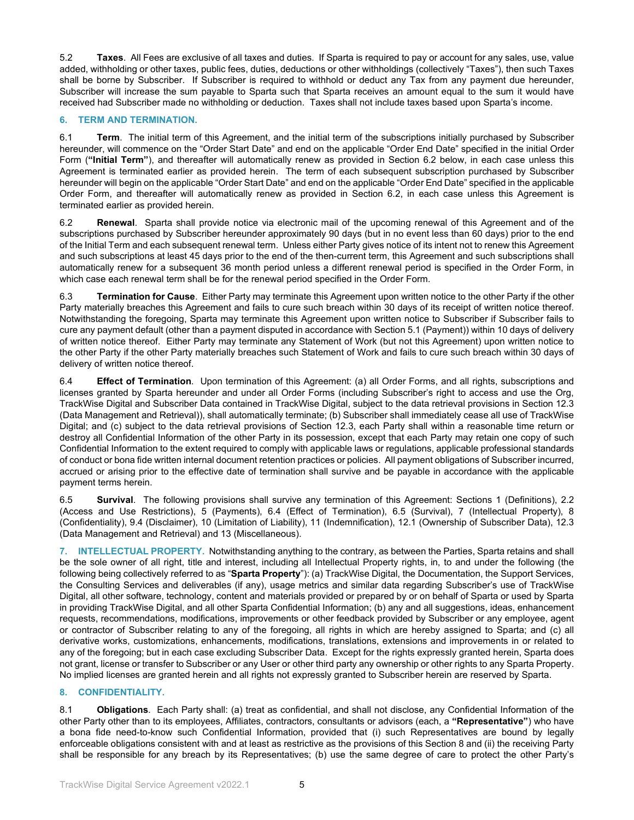5.2 **Taxes**. All Fees are exclusive of all taxes and duties. If Sparta is required to pay or account for any sales, use, value added, withholding or other taxes, public fees, duties, deductions or other withholdings (collectively "Taxes"), then such Taxes shall be borne by Subscriber. If Subscriber is required to withhold or deduct any Tax from any payment due hereunder, Subscriber will increase the sum payable to Sparta such that Sparta receives an amount equal to the sum it would have received had Subscriber made no withholding or deduction. Taxes shall not include taxes based upon Sparta's income.

## **6. TERM AND TERMINATION.**

6.1 **Term**. The initial term of this Agreement, and the initial term of the subscriptions initially purchased by Subscriber hereunder, will commence on the "Order Start Date" and end on the applicable "Order End Date" specified in the initial Order Form (**"Initial Term"**), and thereafter will automatically renew as provided in Section 6.2 below, in each case unless this Agreement is terminated earlier as provided herein. The term of each subsequent subscription purchased by Subscriber hereunder will begin on the applicable "Order Start Date" and end on the applicable "Order End Date" specified in the applicable Order Form, and thereafter will automatically renew as provided in Section 6.2, in each case unless this Agreement is terminated earlier as provided herein.

6.2 **Renewal**. Sparta shall provide notice via electronic mail of the upcoming renewal of this Agreement and of the subscriptions purchased by Subscriber hereunder approximately 90 days (but in no event less than 60 days) prior to the end of the Initial Term and each subsequent renewal term. Unless either Party gives notice of its intent not to renew this Agreement and such subscriptions at least 45 days prior to the end of the then-current term, this Agreement and such subscriptions shall automatically renew for a subsequent 36 month period unless a different renewal period is specified in the Order Form, in which case each renewal term shall be for the renewal period specified in the Order Form.

6.3 **Termination for Cause**. Either Party may terminate this Agreement upon written notice to the other Party if the other Party materially breaches this Agreement and fails to cure such breach within 30 days of its receipt of written notice thereof. Notwithstanding the foregoing, Sparta may terminate this Agreement upon written notice to Subscriber if Subscriber fails to cure any payment default (other than a payment disputed in accordance with Section 5.1 (Payment)) within 10 days of delivery of written notice thereof. Either Party may terminate any Statement of Work (but not this Agreement) upon written notice to the other Party if the other Party materially breaches such Statement of Work and fails to cure such breach within 30 days of delivery of written notice thereof.

6.4 **Effect of Termination**. Upon termination of this Agreement: (a) all Order Forms, and all rights, subscriptions and licenses granted by Sparta hereunder and under all Order Forms (including Subscriber's right to access and use the Org, TrackWise Digital and Subscriber Data contained in TrackWise Digital, subject to the data retrieval provisions in Section 12.3 (Data Management and Retrieval)), shall automatically terminate; (b) Subscriber shall immediately cease all use of TrackWise Digital; and (c) subject to the data retrieval provisions of Section 12.3, each Party shall within a reasonable time return or destroy all Confidential Information of the other Party in its possession, except that each Party may retain one copy of such Confidential Information to the extent required to comply with applicable laws or regulations, applicable professional standards of conduct or bona fide written internal document retention practices or policies. All payment obligations of Subscriber incurred, accrued or arising prior to the effective date of termination shall survive and be payable in accordance with the applicable payment terms herein.

6.5 **Survival**. The following provisions shall survive any termination of this Agreement: Sections 1 (Definitions), 2.2 (Access and Use Restrictions), 5 (Payments), 6.4 (Effect of Termination), 6.5 (Survival), 7 (Intellectual Property), 8 (Confidentiality), 9.4 (Disclaimer), 10 (Limitation of Liability), 11 (Indemnification), 12.1 (Ownership of Subscriber Data), 12.3 (Data Management and Retrieval) and 13 (Miscellaneous).

**7. INTELLECTUAL PROPERTY.** Notwithstanding anything to the contrary, as between the Parties, Sparta retains and shall be the sole owner of all right, title and interest, including all Intellectual Property rights, in, to and under the following (the following being collectively referred to as "**Sparta Property**"): (a) TrackWise Digital, the Documentation, the Support Services, the Consulting Services and deliverables (if any), usage metrics and similar data regarding Subscriber's use of TrackWise Digital, all other software, technology, content and materials provided or prepared by or on behalf of Sparta or used by Sparta in providing TrackWise Digital, and all other Sparta Confidential Information; (b) any and all suggestions, ideas, enhancement requests, recommendations, modifications, improvements or other feedback provided by Subscriber or any employee, agent or contractor of Subscriber relating to any of the foregoing, all rights in which are hereby assigned to Sparta; and (c) all derivative works, customizations, enhancements, modifications, translations, extensions and improvements in or related to any of the foregoing; but in each case excluding Subscriber Data. Except for the rights expressly granted herein, Sparta does not grant, license or transfer to Subscriber or any User or other third party any ownership or other rights to any Sparta Property. No implied licenses are granted herein and all rights not expressly granted to Subscriber herein are reserved by Sparta.

## **8. CONFIDENTIALITY.**

8.1 **Obligations**. Each Party shall: (a) treat as confidential, and shall not disclose, any Confidential Information of the other Party other than to its employees, Affiliates, contractors, consultants or advisors (each, a **"Representative"**) who have a bona fide need-to-know such Confidential Information, provided that (i) such Representatives are bound by legally enforceable obligations consistent with and at least as restrictive as the provisions of this Section 8 and (ii) the receiving Party shall be responsible for any breach by its Representatives; (b) use the same degree of care to protect the other Party's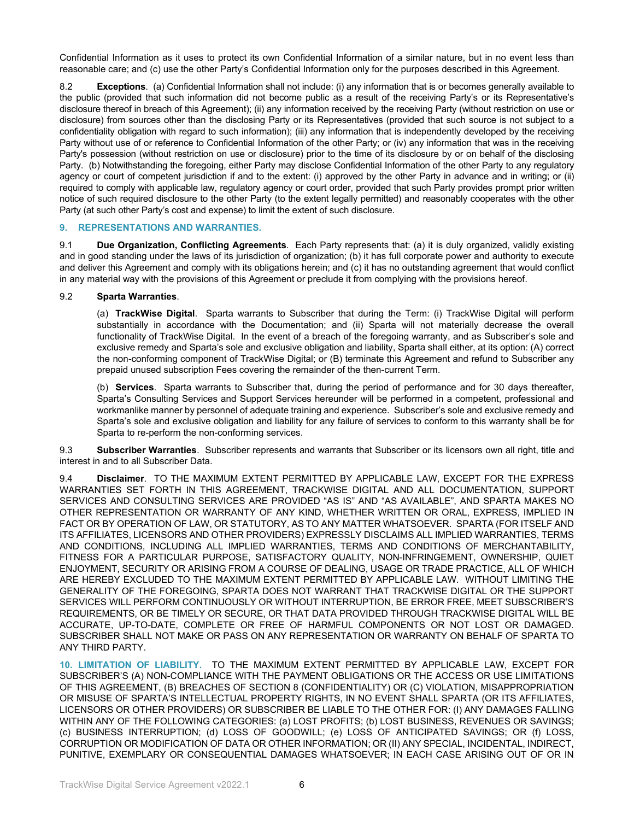Confidential Information as it uses to protect its own Confidential Information of a similar nature, but in no event less than reasonable care; and (c) use the other Party's Confidential Information only for the purposes described in this Agreement.

8.2 **Exceptions**. (a) Confidential Information shall not include: (i) any information that is or becomes generally available to the public (provided that such information did not become public as a result of the receiving Party's or its Representative's disclosure thereof in breach of this Agreement); (ii) any information received by the receiving Party (without restriction on use or disclosure) from sources other than the disclosing Party or its Representatives (provided that such source is not subject to a confidentiality obligation with regard to such information); (iii) any information that is independently developed by the receiving Party without use of or reference to Confidential Information of the other Party; or (iv) any information that was in the receiving Party's possession (without restriction on use or disclosure) prior to the time of its disclosure by or on behalf of the disclosing Party. (b) Notwithstanding the foregoing, either Party may disclose Confidential Information of the other Party to any regulatory agency or court of competent jurisdiction if and to the extent: (i) approved by the other Party in advance and in writing; or (ii) required to comply with applicable law, regulatory agency or court order, provided that such Party provides prompt prior written notice of such required disclosure to the other Party (to the extent legally permitted) and reasonably cooperates with the other Party (at such other Party's cost and expense) to limit the extent of such disclosure.

## **9. REPRESENTATIONS AND WARRANTIES.**

9.1 **Due Organization, Conflicting Agreements**. Each Party represents that: (a) it is duly organized, validly existing and in good standing under the laws of its jurisdiction of organization; (b) it has full corporate power and authority to execute and deliver this Agreement and comply with its obligations herein; and (c) it has no outstanding agreement that would conflict in any material way with the provisions of this Agreement or preclude it from complying with the provisions hereof.

## 9.2 **Sparta Warranties**.

(a) **TrackWise Digital**. Sparta warrants to Subscriber that during the Term: (i) TrackWise Digital will perform substantially in accordance with the Documentation; and (ii) Sparta will not materially decrease the overall functionality of TrackWise Digital. In the event of a breach of the foregoing warranty, and as Subscriber's sole and exclusive remedy and Sparta's sole and exclusive obligation and liability, Sparta shall either, at its option: (A) correct the non-conforming component of TrackWise Digital; or (B) terminate this Agreement and refund to Subscriber any prepaid unused subscription Fees covering the remainder of the then-current Term.

(b) **Services**. Sparta warrants to Subscriber that, during the period of performance and for 30 days thereafter, Sparta's Consulting Services and Support Services hereunder will be performed in a competent, professional and workmanlike manner by personnel of adequate training and experience. Subscriber's sole and exclusive remedy and Sparta's sole and exclusive obligation and liability for any failure of services to conform to this warranty shall be for Sparta to re-perform the non-conforming services.

9.3 **Subscriber Warranties**. Subscriber represents and warrants that Subscriber or its licensors own all right, title and interest in and to all Subscriber Data.

9.4 **Disclaimer**. TO THE MAXIMUM EXTENT PERMITTED BY APPLICABLE LAW, EXCEPT FOR THE EXPRESS WARRANTIES SET FORTH IN THIS AGREEMENT, TRACKWISE DIGITAL AND ALL DOCUMENTATION, SUPPORT SERVICES AND CONSULTING SERVICES ARE PROVIDED "AS IS" AND "AS AVAILABLE", AND SPARTA MAKES NO OTHER REPRESENTATION OR WARRANTY OF ANY KIND, WHETHER WRITTEN OR ORAL, EXPRESS, IMPLIED IN FACT OR BY OPERATION OF LAW, OR STATUTORY, AS TO ANY MATTER WHATSOEVER. SPARTA (FOR ITSELF AND ITS AFFILIATES, LICENSORS AND OTHER PROVIDERS) EXPRESSLY DISCLAIMS ALL IMPLIED WARRANTIES, TERMS AND CONDITIONS, INCLUDING ALL IMPLIED WARRANTIES, TERMS AND CONDITIONS OF MERCHANTABILITY, FITNESS FOR A PARTICULAR PURPOSE, SATISFACTORY QUALITY, NON-INFRINGEMENT, OWNERSHIP, QUIET ENJOYMENT, SECURITY OR ARISING FROM A COURSE OF DEALING, USAGE OR TRADE PRACTICE, ALL OF WHICH ARE HEREBY EXCLUDED TO THE MAXIMUM EXTENT PERMITTED BY APPLICABLE LAW. WITHOUT LIMITING THE GENERALITY OF THE FOREGOING, SPARTA DOES NOT WARRANT THAT TRACKWISE DIGITAL OR THE SUPPORT SERVICES WILL PERFORM CONTINUOUSLY OR WITHOUT INTERRUPTION, BE ERROR FREE, MEET SUBSCRIBER'S REQUIREMENTS, OR BE TIMELY OR SECURE, OR THAT DATA PROVIDED THROUGH TRACKWISE DIGITAL WILL BE ACCURATE, UP-TO-DATE, COMPLETE OR FREE OF HARMFUL COMPONENTS OR NOT LOST OR DAMAGED. SUBSCRIBER SHALL NOT MAKE OR PASS ON ANY REPRESENTATION OR WARRANTY ON BEHALF OF SPARTA TO ANY THIRD PARTY.

**10. LIMITATION OF LIABILITY.** TO THE MAXIMUM EXTENT PERMITTED BY APPLICABLE LAW, EXCEPT FOR SUBSCRIBER'S (A) NON-COMPLIANCE WITH THE PAYMENT OBLIGATIONS OR THE ACCESS OR USE LIMITATIONS OF THIS AGREEMENT, (B) BREACHES OF SECTION 8 (CONFIDENTIALITY) OR (C) VIOLATION, MISAPPROPRIATION OR MISUSE OF SPARTA'S INTELLECTUAL PROPERTY RIGHTS, IN NO EVENT SHALL SPARTA (OR ITS AFFILIATES, LICENSORS OR OTHER PROVIDERS) OR SUBSCRIBER BE LIABLE TO THE OTHER FOR: (I) ANY DAMAGES FALLING WITHIN ANY OF THE FOLLOWING CATEGORIES: (a) LOST PROFITS; (b) LOST BUSINESS, REVENUES OR SAVINGS; (c) BUSINESS INTERRUPTION; (d) LOSS OF GOODWILL; (e) LOSS OF ANTICIPATED SAVINGS; OR (f) LOSS, CORRUPTION OR MODIFICATION OF DATA OR OTHER INFORMATION; OR (II) ANY SPECIAL, INCIDENTAL, INDIRECT, PUNITIVE, EXEMPLARY OR CONSEQUENTIAL DAMAGES WHATSOEVER; IN EACH CASE ARISING OUT OF OR IN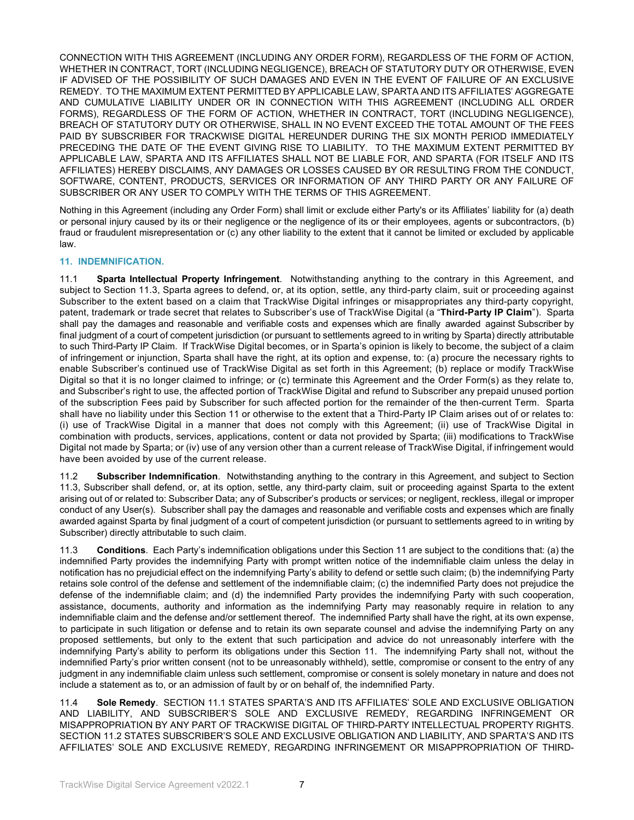CONNECTION WITH THIS AGREEMENT (INCLUDING ANY ORDER FORM), REGARDLESS OF THE FORM OF ACTION, WHETHER IN CONTRACT, TORT (INCLUDING NEGLIGENCE), BREACH OF STATUTORY DUTY OR OTHERWISE, EVEN IF ADVISED OF THE POSSIBILITY OF SUCH DAMAGES AND EVEN IN THE EVENT OF FAILURE OF AN EXCLUSIVE REMEDY. TO THE MAXIMUM EXTENT PERMITTED BY APPLICABLE LAW, SPARTA AND ITS AFFILIATES' AGGREGATE AND CUMULATIVE LIABILITY UNDER OR IN CONNECTION WITH THIS AGREEMENT (INCLUDING ALL ORDER FORMS), REGARDLESS OF THE FORM OF ACTION, WHETHER IN CONTRACT, TORT (INCLUDING NEGLIGENCE), BREACH OF STATUTORY DUTY OR OTHERWISE, SHALL IN NO EVENT EXCEED THE TOTAL AMOUNT OF THE FEES PAID BY SUBSCRIBER FOR TRACKWISE DIGITAL HEREUNDER DURING THE SIX MONTH PERIOD IMMEDIATELY PRECEDING THE DATE OF THE EVENT GIVING RISE TO LIABILITY. TO THE MAXIMUM EXTENT PERMITTED BY APPLICABLE LAW, SPARTA AND ITS AFFILIATES SHALL NOT BE LIABLE FOR, AND SPARTA (FOR ITSELF AND ITS AFFILIATES) HEREBY DISCLAIMS, ANY DAMAGES OR LOSSES CAUSED BY OR RESULTING FROM THE CONDUCT, SOFTWARE, CONTENT, PRODUCTS, SERVICES OR INFORMATION OF ANY THIRD PARTY OR ANY FAILURE OF SUBSCRIBER OR ANY USER TO COMPLY WITH THE TERMS OF THIS AGREEMENT.

Nothing in this Agreement (including any Order Form) shall limit or exclude either Party's or its Affiliates' liability for (a) death or personal injury caused by its or their negligence or the negligence of its or their employees, agents or subcontractors, (b) fraud or fraudulent misrepresentation or (c) any other liability to the extent that it cannot be limited or excluded by applicable law.

## **11. INDEMNIFICATION.**

11.1 **Sparta Intellectual Property Infringement**. Notwithstanding anything to the contrary in this Agreement, and subject to Section 11.3, Sparta agrees to defend, or, at its option, settle, any third-party claim, suit or proceeding against Subscriber to the extent based on a claim that TrackWise Digital infringes or misappropriates any third-party copyright, patent, trademark or trade secret that relates to Subscriber's use of TrackWise Digital (a "**Third-Party IP Claim**"). Sparta shall pay the damages and reasonable and verifiable costs and expenses which are finally awarded against Subscriber by final judgment of a court of competent jurisdiction (or pursuant to settlements agreed to in writing by Sparta) directly attributable to such Third-Party IP Claim. If TrackWise Digital becomes, or in Sparta's opinion is likely to become, the subject of a claim of infringement or injunction, Sparta shall have the right, at its option and expense, to: (a) procure the necessary rights to enable Subscriber's continued use of TrackWise Digital as set forth in this Agreement; (b) replace or modify TrackWise Digital so that it is no longer claimed to infringe; or (c) terminate this Agreement and the Order Form(s) as they relate to, and Subscriber's right to use, the affected portion of TrackWise Digital and refund to Subscriber any prepaid unused portion of the subscription Fees paid by Subscriber for such affected portion for the remainder of the then-current Term. Sparta shall have no liability under this Section 11 or otherwise to the extent that a Third-Party IP Claim arises out of or relates to: (i) use of TrackWise Digital in a manner that does not comply with this Agreement; (ii) use of TrackWise Digital in combination with products, services, applications, content or data not provided by Sparta; (iii) modifications to TrackWise Digital not made by Sparta; or (iv) use of any version other than a current release of TrackWise Digital, if infringement would have been avoided by use of the current release.

11.2 **Subscriber Indemnification**. Notwithstanding anything to the contrary in this Agreement, and subject to Section 11.3, Subscriber shall defend, or, at its option, settle, any third-party claim, suit or proceeding against Sparta to the extent arising out of or related to: Subscriber Data; any of Subscriber's products or services; or negligent, reckless, illegal or improper conduct of any User(s). Subscriber shall pay the damages and reasonable and verifiable costs and expenses which are finally awarded against Sparta by final judgment of a court of competent jurisdiction (or pursuant to settlements agreed to in writing by Subscriber) directly attributable to such claim.

11.3 **Conditions**. Each Party's indemnification obligations under this Section 11 are subject to the conditions that: (a) the indemnified Party provides the indemnifying Party with prompt written notice of the indemnifiable claim unless the delay in notification has no prejudicial effect on the indemnifying Party's ability to defend or settle such claim; (b) the indemnifying Party retains sole control of the defense and settlement of the indemnifiable claim; (c) the indemnified Party does not prejudice the defense of the indemnifiable claim; and (d) the indemnified Party provides the indemnifying Party with such cooperation, assistance, documents, authority and information as the indemnifying Party may reasonably require in relation to any indemnifiable claim and the defense and/or settlement thereof. The indemnified Party shall have the right, at its own expense, to participate in such litigation or defense and to retain its own separate counsel and advise the indemnifying Party on any proposed settlements, but only to the extent that such participation and advice do not unreasonably interfere with the indemnifying Party's ability to perform its obligations under this Section 11. The indemnifying Party shall not, without the indemnified Party's prior written consent (not to be unreasonably withheld), settle, compromise or consent to the entry of any judgment in any indemnifiable claim unless such settlement, compromise or consent is solely monetary in nature and does not include a statement as to, or an admission of fault by or on behalf of, the indemnified Party.

11.4 **Sole Remedy**. SECTION 11.1 STATES SPARTA'S AND ITS AFFILIATES' SOLE AND EXCLUSIVE OBLIGATION AND LIABILITY, AND SUBSCRIBER'S SOLE AND EXCLUSIVE REMEDY, REGARDING INFRINGEMENT OR MISAPPROPRIATION BY ANY PART OF TRACKWISE DIGITAL OF THIRD-PARTY INTELLECTUAL PROPERTY RIGHTS. SECTION 11.2 STATES SUBSCRIBER'S SOLE AND EXCLUSIVE OBLIGATION AND LIABILITY, AND SPARTA'S AND ITS AFFILIATES' SOLE AND EXCLUSIVE REMEDY, REGARDING INFRINGEMENT OR MISAPPROPRIATION OF THIRD-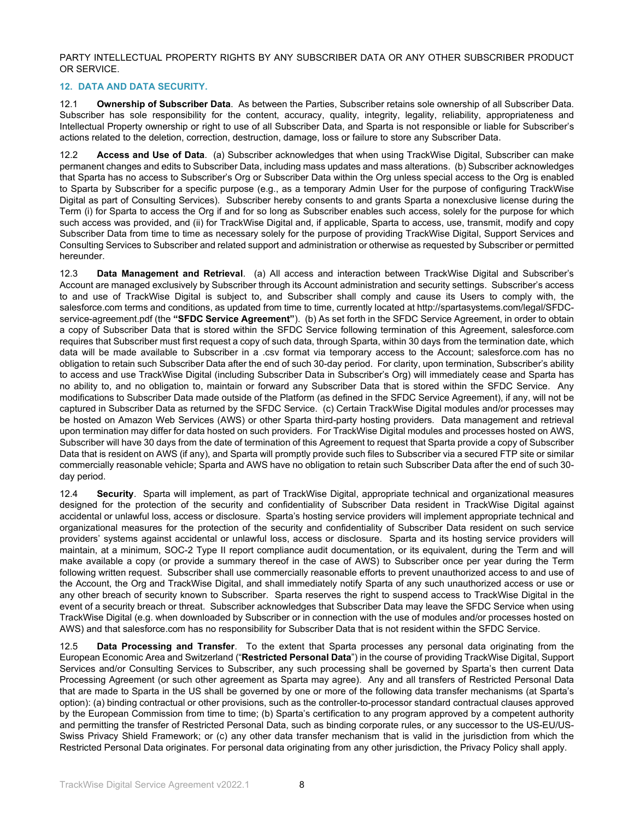PARTY INTELLECTUAL PROPERTY RIGHTS BY ANY SUBSCRIBER DATA OR ANY OTHER SUBSCRIBER PRODUCT OR SERVICE.

#### **12. DATA AND DATA SECURITY.**

12.1 **Ownership of Subscriber Data**. As between the Parties, Subscriber retains sole ownership of all Subscriber Data. Subscriber has sole responsibility for the content, accuracy, quality, integrity, legality, reliability, appropriateness and Intellectual Property ownership or right to use of all Subscriber Data, and Sparta is not responsible or liable for Subscriber's actions related to the deletion, correction, destruction, damage, loss or failure to store any Subscriber Data.

12.2 **Access and Use of Data**. (a) Subscriber acknowledges that when using TrackWise Digital, Subscriber can make permanent changes and edits to Subscriber Data, including mass updates and mass alterations. (b) Subscriber acknowledges that Sparta has no access to Subscriber's Org or Subscriber Data within the Org unless special access to the Org is enabled to Sparta by Subscriber for a specific purpose (e.g., as a temporary Admin User for the purpose of configuring TrackWise Digital as part of Consulting Services). Subscriber hereby consents to and grants Sparta a nonexclusive license during the Term (i) for Sparta to access the Org if and for so long as Subscriber enables such access, solely for the purpose for which such access was provided, and (ii) for TrackWise Digital and, if applicable, Sparta to access, use, transmit, modify and copy Subscriber Data from time to time as necessary solely for the purpose of providing TrackWise Digital, Support Services and Consulting Services to Subscriber and related support and administration or otherwise as requested by Subscriber or permitted hereunder.

12.3 **Data Management and Retrieval**. (a) All access and interaction between TrackWise Digital and Subscriber's Account are managed exclusively by Subscriber through its Account administration and security settings. Subscriber's access to and use of TrackWise Digital is subject to, and Subscriber shall comply and cause its Users to comply with, the salesforce.com terms and conditions, as updated from time to time, currently located at http://spartasystems.com/legal/SFDCservice-agreement.pdf (the **"SFDC Service Agreement"**). (b) As set forth in the SFDC Service Agreement, in order to obtain a copy of Subscriber Data that is stored within the SFDC Service following termination of this Agreement, salesforce.com requires that Subscriber must first request a copy of such data, through Sparta, within 30 days from the termination date, which data will be made available to Subscriber in a .csv format via temporary access to the Account; salesforce.com has no obligation to retain such Subscriber Data after the end of such 30-day period. For clarity, upon termination, Subscriber's ability to access and use TrackWise Digital (including Subscriber Data in Subscriber's Org) will immediately cease and Sparta has no ability to, and no obligation to, maintain or forward any Subscriber Data that is stored within the SFDC Service. Any modifications to Subscriber Data made outside of the Platform (as defined in the SFDC Service Agreement), if any, will not be captured in Subscriber Data as returned by the SFDC Service. (c) Certain TrackWise Digital modules and/or processes may be hosted on Amazon Web Services (AWS) or other Sparta third-party hosting providers. Data management and retrieval upon termination may differ for data hosted on such providers. For TrackWise Digital modules and processes hosted on AWS, Subscriber will have 30 days from the date of termination of this Agreement to request that Sparta provide a copy of Subscriber Data that is resident on AWS (if any), and Sparta will promptly provide such files to Subscriber via a secured FTP site or similar commercially reasonable vehicle; Sparta and AWS have no obligation to retain such Subscriber Data after the end of such 30 day period.

12.4 **Security**. Sparta will implement, as part of TrackWise Digital, appropriate technical and organizational measures designed for the protection of the security and confidentiality of Subscriber Data resident in TrackWise Digital against accidental or unlawful loss, access or disclosure. Sparta's hosting service providers will implement appropriate technical and organizational measures for the protection of the security and confidentiality of Subscriber Data resident on such service providers' systems against accidental or unlawful loss, access or disclosure. Sparta and its hosting service providers will maintain, at a minimum, SOC-2 Type II report compliance audit documentation, or its equivalent, during the Term and will make available a copy (or provide a summary thereof in the case of AWS) to Subscriber once per year during the Term following written request. Subscriber shall use commercially reasonable efforts to prevent unauthorized access to and use of the Account, the Org and TrackWise Digital, and shall immediately notify Sparta of any such unauthorized access or use or any other breach of security known to Subscriber. Sparta reserves the right to suspend access to TrackWise Digital in the event of a security breach or threat. Subscriber acknowledges that Subscriber Data may leave the SFDC Service when using TrackWise Digital (e.g. when downloaded by Subscriber or in connection with the use of modules and/or processes hosted on AWS) and that salesforce.com has no responsibility for Subscriber Data that is not resident within the SFDC Service.

12.5 **Data Processing and Transfer**. To the extent that Sparta processes any personal data originating from the European Economic Area and Switzerland ("**Restricted Personal Data**") in the course of providing TrackWise Digital, Support Services and/or Consulting Services to Subscriber, any such processing shall be governed by Sparta's then current Data Processing Agreement (or such other agreement as Sparta may agree). Any and all transfers of Restricted Personal Data that are made to Sparta in the US shall be governed by one or more of the following data transfer mechanisms (at Sparta's option): (a) binding contractual or other provisions, such as the controller-to-processor standard contractual clauses approved by the European Commission from time to time; (b) Sparta's certification to any program approved by a competent authority and permitting the transfer of Restricted Personal Data, such as binding corporate rules, or any successor to the US-EU/US-Swiss Privacy Shield Framework; or (c) any other data transfer mechanism that is valid in the jurisdiction from which the Restricted Personal Data originates. For personal data originating from any other jurisdiction, the Privacy Policy shall apply.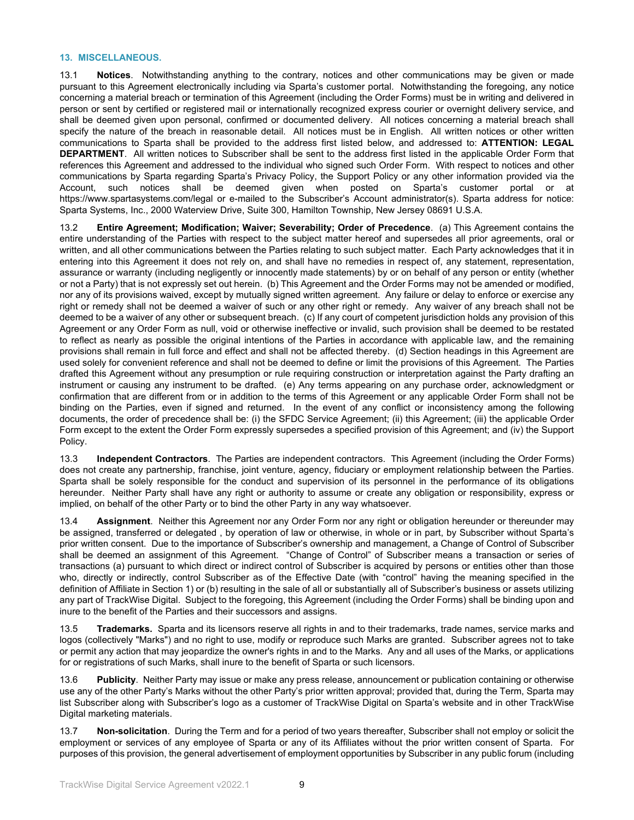#### **13. MISCELLANEOUS.**

13.1 **Notices**. Notwithstanding anything to the contrary, notices and other communications may be given or made pursuant to this Agreement electronically including via Sparta's customer portal. Notwithstanding the foregoing, any notice concerning a material breach or termination of this Agreement (including the Order Forms) must be in writing and delivered in person or sent by certified or registered mail or internationally recognized express courier or overnight delivery service, and shall be deemed given upon personal, confirmed or documented delivery. All notices concerning a material breach shall specify the nature of the breach in reasonable detail. All notices must be in English. All written notices or other written communications to Sparta shall be provided to the address first listed below, and addressed to: **ATTENTION: LEGAL DEPARTMENT**. All written notices to Subscriber shall be sent to the address first listed in the applicable Order Form that references this Agreement and addressed to the individual who signed such Order Form. With respect to notices and other communications by Sparta regarding Sparta's Privacy Policy, the Support Policy or any other information provided via the Account, such notices shall be deemed given when posted on Sparta's customer portal or at https://www.spartasystems.com/legal or e-mailed to the Subscriber's Account administrator(s). Sparta address for notice: Sparta Systems, Inc., 2000 Waterview Drive, Suite 300, Hamilton Township, New Jersey 08691 U.S.A.

13.2 **Entire Agreement; Modification; Waiver; Severability; Order of Precedence**. (a) This Agreement contains the entire understanding of the Parties with respect to the subject matter hereof and supersedes all prior agreements, oral or written, and all other communications between the Parties relating to such subject matter. Each Party acknowledges that it in entering into this Agreement it does not rely on, and shall have no remedies in respect of, any statement, representation, assurance or warranty (including negligently or innocently made statements) by or on behalf of any person or entity (whether or not a Party) that is not expressly set out herein. (b) This Agreement and the Order Forms may not be amended or modified, nor any of its provisions waived, except by mutually signed written agreement. Any failure or delay to enforce or exercise any right or remedy shall not be deemed a waiver of such or any other right or remedy. Any waiver of any breach shall not be deemed to be a waiver of any other or subsequent breach. (c) If any court of competent jurisdiction holds any provision of this Agreement or any Order Form as null, void or otherwise ineffective or invalid, such provision shall be deemed to be restated to reflect as nearly as possible the original intentions of the Parties in accordance with applicable law, and the remaining provisions shall remain in full force and effect and shall not be affected thereby. (d) Section headings in this Agreement are used solely for convenient reference and shall not be deemed to define or limit the provisions of this Agreement. The Parties drafted this Agreement without any presumption or rule requiring construction or interpretation against the Party drafting an instrument or causing any instrument to be drafted. (e) Any terms appearing on any purchase order, acknowledgment or confirmation that are different from or in addition to the terms of this Agreement or any applicable Order Form shall not be binding on the Parties, even if signed and returned. In the event of any conflict or inconsistency among the following documents, the order of precedence shall be: (i) the SFDC Service Agreement; (ii) this Agreement; (iii) the applicable Order Form except to the extent the Order Form expressly supersedes a specified provision of this Agreement; and (iv) the Support Policy.

13.3 **Independent Contractors**. The Parties are independent contractors. This Agreement (including the Order Forms) does not create any partnership, franchise, joint venture, agency, fiduciary or employment relationship between the Parties. Sparta shall be solely responsible for the conduct and supervision of its personnel in the performance of its obligations hereunder. Neither Party shall have any right or authority to assume or create any obligation or responsibility, express or implied, on behalf of the other Party or to bind the other Party in any way whatsoever.

13.4 **Assignment**. Neither this Agreement nor any Order Form nor any right or obligation hereunder or thereunder may be assigned, transferred or delegated , by operation of law or otherwise, in whole or in part, by Subscriber without Sparta's prior written consent. Due to the importance of Subscriber's ownership and management, a Change of Control of Subscriber shall be deemed an assignment of this Agreement. "Change of Control" of Subscriber means a transaction or series of transactions (a) pursuant to which direct or indirect control of Subscriber is acquired by persons or entities other than those who, directly or indirectly, control Subscriber as of the Effective Date (with "control" having the meaning specified in the definition of Affiliate in Section 1) or (b) resulting in the sale of all or substantially all of Subscriber's business or assets utilizing any part of TrackWise Digital. Subject to the foregoing, this Agreement (including the Order Forms) shall be binding upon and inure to the benefit of the Parties and their successors and assigns.

13.5 **Trademarks.** Sparta and its licensors reserve all rights in and to their trademarks, trade names, service marks and logos (collectively "Marks") and no right to use, modify or reproduce such Marks are granted. Subscriber agrees not to take or permit any action that may jeopardize the owner's rights in and to the Marks. Any and all uses of the Marks, or applications for or registrations of such Marks, shall inure to the benefit of Sparta or such licensors.

13.6 **Publicity**. Neither Party may issue or make any press release, announcement or publication containing or otherwise use any of the other Party's Marks without the other Party's prior written approval; provided that, during the Term, Sparta may list Subscriber along with Subscriber's logo as a customer of TrackWise Digital on Sparta's website and in other TrackWise Digital marketing materials.

13.7 **Non-solicitation**. During the Term and for a period of two years thereafter, Subscriber shall not employ or solicit the employment or services of any employee of Sparta or any of its Affiliates without the prior written consent of Sparta. For purposes of this provision, the general advertisement of employment opportunities by Subscriber in any public forum (including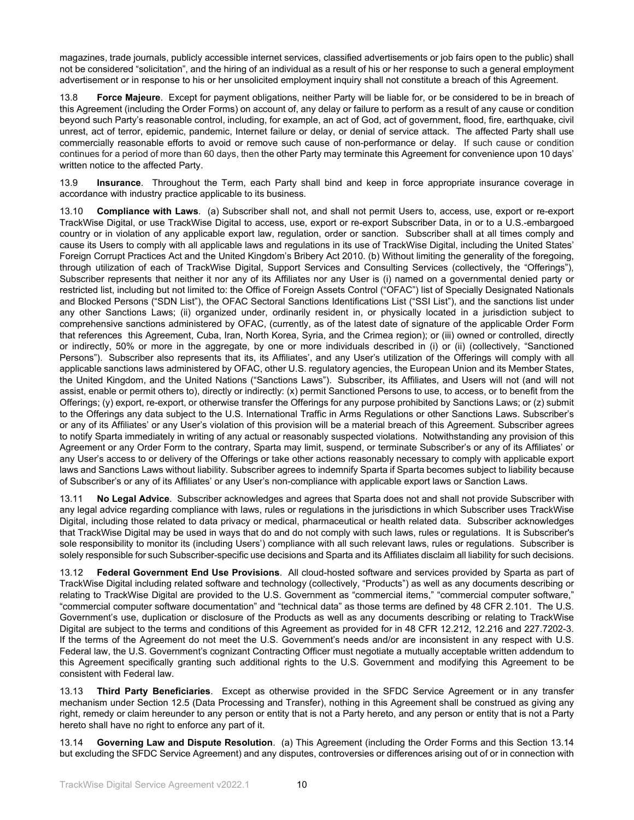magazines, trade journals, publicly accessible internet services, classified advertisements or job fairs open to the public) shall not be considered "solicitation", and the hiring of an individual as a result of his or her response to such a general employment advertisement or in response to his or her unsolicited employment inquiry shall not constitute a breach of this Agreement.

13.8 **Force Majeure**. Except for payment obligations, neither Party will be liable for, or be considered to be in breach of this Agreement (including the Order Forms) on account of, any delay or failure to perform as a result of any cause or condition beyond such Party's reasonable control, including, for example, an act of God, act of government, flood, fire, earthquake, civil unrest, act of terror, epidemic, pandemic, Internet failure or delay, or denial of service attack. The affected Party shall use commercially reasonable efforts to avoid or remove such cause of non-performance or delay. If such cause or condition continues for a period of more than 60 days, then the other Party may terminate this Agreement for convenience upon 10 days' written notice to the affected Party.

13.9 **Insurance**. Throughout the Term, each Party shall bind and keep in force appropriate insurance coverage in accordance with industry practice applicable to its business.

13.10 **Compliance with Laws**. (a) Subscriber shall not, and shall not permit Users to, access, use, export or re-export TrackWise Digital, or use TrackWise Digital to access, use, export or re-export Subscriber Data, in or to a U.S.-embargoed country or in violation of any applicable export law, regulation, order or sanction. Subscriber shall at all times comply and cause its Users to comply with all applicable laws and regulations in its use of TrackWise Digital, including the United States' Foreign Corrupt Practices Act and the United Kingdom's Bribery Act 2010. (b) Without limiting the generality of the foregoing, through utilization of each of TrackWise Digital, Support Services and Consulting Services (collectively, the "Offerings"), Subscriber represents that neither it nor any of its Affiliates nor any User is (i) named on a governmental denied party or restricted list, including but not limited to: the Office of Foreign Assets Control ("OFAC") list of Specially Designated Nationals and Blocked Persons ("SDN List"), the OFAC Sectoral Sanctions Identifications List ("SSI List"), and the sanctions list under any other Sanctions Laws; (ii) organized under, ordinarily resident in, or physically located in a jurisdiction subject to comprehensive sanctions administered by OFAC, (currently, as of the latest date of signature of the applicable Order Form that references this Agreement, Cuba, Iran, North Korea, Syria, and the Crimea region); or (iii) owned or controlled, directly or indirectly, 50% or more in the aggregate, by one or more individuals described in (i) or (ii) (collectively, "Sanctioned Persons"). Subscriber also represents that its, its Affiliates', and any User's utilization of the Offerings will comply with all applicable sanctions laws administered by OFAC, other U.S. regulatory agencies, the European Union and its Member States, the United Kingdom, and the United Nations ("Sanctions Laws"). Subscriber, its Affiliates, and Users will not (and will not assist, enable or permit others to), directly or indirectly: (x) permit Sanctioned Persons to use, to access, or to benefit from the Offerings; (y) export, re-export, or otherwise transfer the Offerings for any purpose prohibited by Sanctions Laws; or (z) submit to the Offerings any data subject to the U.S. International Traffic in Arms Regulations or other Sanctions Laws. Subscriber's or any of its Affiliates' or any User's violation of this provision will be a material breach of this Agreement. Subscriber agrees to notify Sparta immediately in writing of any actual or reasonably suspected violations. Notwithstanding any provision of this Agreement or any Order Form to the contrary, Sparta may limit, suspend, or terminate Subscriber's or any of its Affiliates' or any User's access to or delivery of the Offerings or take other actions reasonably necessary to comply with applicable export laws and Sanctions Laws without liability. Subscriber agrees to indemnify Sparta if Sparta becomes subject to liability because of Subscriber's or any of its Affiliates' or any User's non-compliance with applicable export laws or Sanction Laws.

13.11 **No Legal Advice**. Subscriber acknowledges and agrees that Sparta does not and shall not provide Subscriber with any legal advice regarding compliance with laws, rules or regulations in the jurisdictions in which Subscriber uses TrackWise Digital, including those related to data privacy or medical, pharmaceutical or health related data. Subscriber acknowledges that TrackWise Digital may be used in ways that do and do not comply with such laws, rules or regulations. It is Subscriber's sole responsibility to monitor its (including Users') compliance with all such relevant laws, rules or regulations. Subscriber is solely responsible for such Subscriber-specific use decisions and Sparta and its Affiliates disclaim all liability for such decisions.

13.12 **Federal Government End Use Provisions**. All cloud-hosted software and services provided by Sparta as part of TrackWise Digital including related software and technology (collectively, "Products") as well as any documents describing or relating to TrackWise Digital are provided to the U.S. Government as "commercial items," "commercial computer software," "commercial computer software documentation" and "technical data" as those terms are defined by 48 CFR 2.101. The U.S. Government's use, duplication or disclosure of the Products as well as any documents describing or relating to TrackWise Digital are subject to the terms and conditions of this Agreement as provided for in 48 CFR 12.212, 12.216 and 227.7202-3. If the terms of the Agreement do not meet the U.S. Government's needs and/or are inconsistent in any respect with U.S. Federal law, the U.S. Government's cognizant Contracting Officer must negotiate a mutually acceptable written addendum to this Agreement specifically granting such additional rights to the U.S. Government and modifying this Agreement to be consistent with Federal law.

13.13 **Third Party Beneficiaries**. Except as otherwise provided in the SFDC Service Agreement or in any transfer mechanism under Section 12.5 (Data Processing and Transfer), nothing in this Agreement shall be construed as giving any right, remedy or claim hereunder to any person or entity that is not a Party hereto, and any person or entity that is not a Party hereto shall have no right to enforce any part of it.

13.14 **Governing Law and Dispute Resolution**. (a) This Agreement (including the Order Forms and this Section 13.14 but excluding the SFDC Service Agreement) and any disputes, controversies or differences arising out of or in connection with